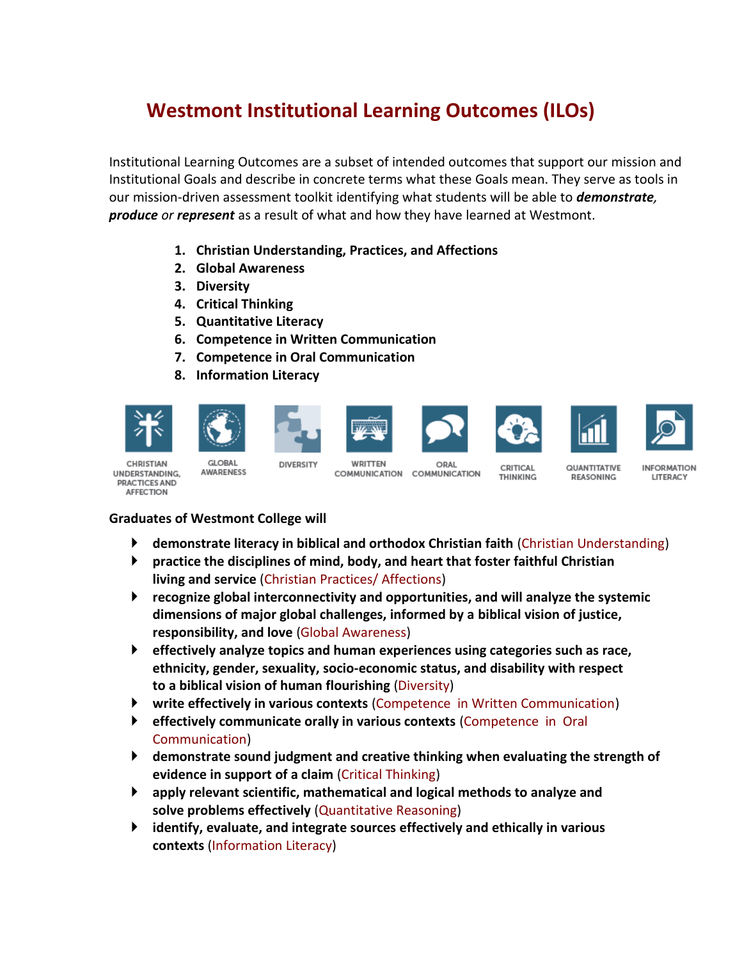## **Westmont Institutional Learning Outcomes (ILOs)**

Institutional Learning Outcomes are a subset of intended outcomes that support our mission and Institutional Goals and describe in concrete terms what these Goals mean. They serve as tools in our mission-driven assessment toolkit identifying what students will be able to *demonstrate, produce or represent* as a result of what and how they have learned at Westmont.

- **1. Christian Understanding, Practices, and Affections**
- **2. Global Awareness**
- **3. Diversity**
- **4. Critical Thinking**
- **5. Quantitative Literacy**
- **6. Competence in Written Communication**
- **7. Competence in Oral Communication**
- **8. Information Literacy**















CHRISTIAN UNDERSTANDING. PRACTICES AND **AFFECTION** 

**GLORAL AWARENESS** 

DIVERSITY WRITTEN COMMUNICATION

ORAL COMMUNICATION

CRITICAL THINKING

QUANTITATIVE REASONING

**INFORMATION LITERACY** 

## **Graduates of Westmont College will**

- **demonstrate literacy in biblical and orthodox Christian faith (Christian Understanding)**
- **practice the disciplines of mind, body, and heart that foster faithful Christian living and service** (Christian Practices/ Affections)
- **recognize global interconnectivity and opportunities, and will analyze the systemic dimensions of major global challenges, informed by a biblical vision of justice, responsibility, and love** (Global Awareness)
- **effectively analyze topics and human experiences using categories such as race, ethnicity, gender, sexuality, socio-economic status, and disability with respect to a biblical vision of human flourishing** (Diversity)
- **write effectively in various contexts** (Competence in Written Communication)
- **effectively communicate orally in various contexts** (Competence in Oral Communication)
- **demonstrate sound judgment and creative thinking when evaluating the strength of evidence in support of a claim** (Critical Thinking)
- **apply relevant scientific, mathematical and logical methods to analyze and solve problems effectively** (Quantitative Reasoning)
- **identify, evaluate, and integrate sources effectively and ethically in various contexts** (Information Literacy)